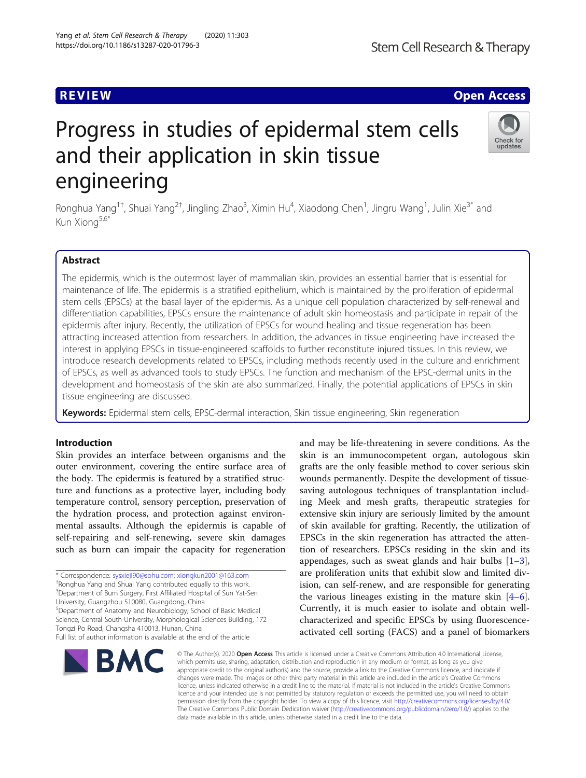# Progress in studies of epidermal stem cells and their application in skin tissue engineering

Ronghua Yang<sup>1†</sup>, Shuai Yang<sup>2†</sup>, Jingling Zhao<sup>3</sup>, Ximin Hu<sup>4</sup>, Xiaodong Chen<sup>1</sup>, Jingru Wang<sup>1</sup>, Julin Xie<sup>3\*</sup> and Kun Xiong<sup>5,6\*</sup>

# Abstract

The epidermis, which is the outermost layer of mammalian skin, provides an essential barrier that is essential for maintenance of life. The epidermis is a stratified epithelium, which is maintained by the proliferation of epidermal stem cells (EPSCs) at the basal layer of the epidermis. As a unique cell population characterized by self-renewal and differentiation capabilities, EPSCs ensure the maintenance of adult skin homeostasis and participate in repair of the epidermis after injury. Recently, the utilization of EPSCs for wound healing and tissue regeneration has been attracting increased attention from researchers. In addition, the advances in tissue engineering have increased the interest in applying EPSCs in tissue-engineered scaffolds to further reconstitute injured tissues. In this review, we introduce research developments related to EPSCs, including methods recently used in the culture and enrichment of EPSCs, as well as advanced tools to study EPSCs. The function and mechanism of the EPSC-dermal units in the development and homeostasis of the skin are also summarized. Finally, the potential applications of EPSCs in skin tissue engineering are discussed.

Keywords: Epidermal stem cells, EPSC-dermal interaction, Skin tissue engineering, Skin regeneration

# Introduction

Skin provides an interface between organisms and the outer environment, covering the entire surface area of the body. The epidermis is featured by a stratified structure and functions as a protective layer, including body temperature control, sensory perception, preservation of the hydration process, and protection against environmental assaults. Although the epidermis is capable of self-repairing and self-renewing, severe skin damages such as burn can impair the capacity for regeneration

\* Correspondence: [sysxiejl90@sohu.com;](mailto:sysxiejl90@sohu.com) [xiongkun2001@163.com](mailto:xiongkun2001@163.com) † <sup>+</sup>Ronghua Yang and Shuai Yang contributed equally to this work. <sup>3</sup>Department of Burn Surgery, First Affiliated Hospital of Sun Yat-Sen University, Guangzhou 510080, Guangdong, China

5 Department of Anatomy and Neurobiology, School of Basic Medical Science, Central South University, Morphological Sciences Building, 172 Tongzi Po Road, Changsha 410013, Hunan, China Full list of author information is available at the end of the article

activated cell sorting (FACS) and a panel of biomarkers © The Author(s), 2020 **Open Access** This article is licensed under a Creative Commons Attribution 4.0 International License, which permits use, sharing, adaptation, distribution and reproduction in any medium or format, as long as you give appropriate credit to the original author(s) and the source, provide a link to the Creative Commons licence, and indicate if changes were made. The images or other third party material in this article are included in the article's Creative Commons licence, unless indicated otherwise in a credit line to the material. If material is not included in the article's Creative Commons licence and your intended use is not permitted by statutory regulation or exceeds the permitted use, you will need to obtain permission directly from the copyright holder. To view a copy of this licence, visit [http://creativecommons.org/licenses/by/4.0/.](http://creativecommons.org/licenses/by/4.0/) The Creative Commons Public Domain Dedication waiver [\(http://creativecommons.org/publicdomain/zero/1.0/](http://creativecommons.org/publicdomain/zero/1.0/)) applies to the data made available in this article, unless otherwise stated in a credit line to the data.

skin is an immunocompetent organ, autologous skin grafts are the only feasible method to cover serious skin wounds permanently. Despite the development of tissuesaving autologous techniques of transplantation including Meek and mesh grafts, therapeutic strategies for extensive skin injury are seriously limited by the amount of skin available for grafting. Recently, the utilization of EPSCs in the skin regeneration has attracted the attention of researchers. EPSCs residing in the skin and its appendages, such as sweat glands and hair bulbs  $[1-3]$  $[1-3]$  $[1-3]$  $[1-3]$ , are proliferation units that exhibit slow and limited division, can self-renew, and are responsible for generating the various lineages existing in the mature skin  $[4-6]$  $[4-6]$  $[4-6]$  $[4-6]$ . Currently, it is much easier to isolate and obtain wellcharacterized and specific EPSCs by using fluorescence-

and may be life-threatening in severe conditions. As the





# Yang et al. Stem Cell Research & Therapy (2020) 11:303 https://doi.org/10.1186/s13287-020-01796-3

**REVIEW ACCESS AND LOCAL CONTRACT CONTRACT OF ACCESS**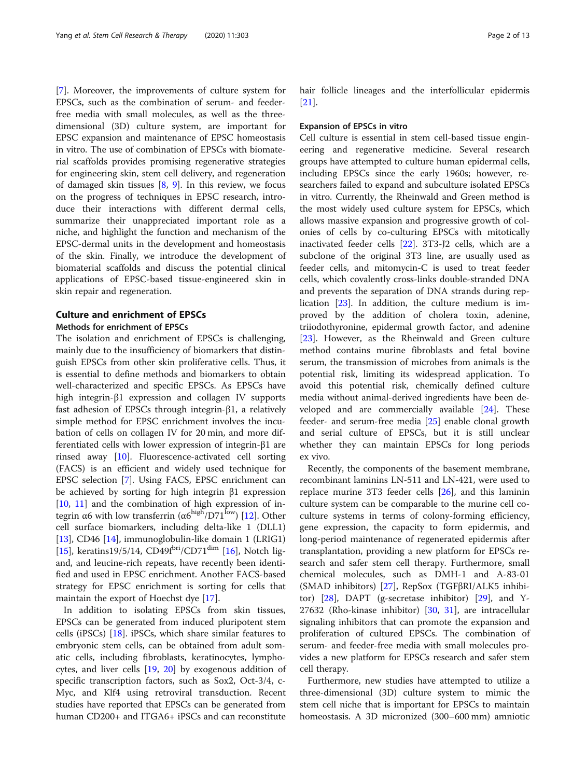[[7\]](#page-9-0). Moreover, the improvements of culture system for EPSCs, such as the combination of serum- and feederfree media with small molecules, as well as the threedimensional (3D) culture system, are important for EPSC expansion and maintenance of EPSC homeostasis in vitro. The use of combination of EPSCs with biomaterial scaffolds provides promising regenerative strategies for engineering skin, stem cell delivery, and regeneration of damaged skin tissues  $[8, 9]$  $[8, 9]$  $[8, 9]$  $[8, 9]$ . In this review, we focus on the progress of techniques in EPSC research, introduce their interactions with different dermal cells, summarize their unappreciated important role as a niche, and highlight the function and mechanism of the EPSC-dermal units in the development and homeostasis of the skin. Finally, we introduce the development of biomaterial scaffolds and discuss the potential clinical applications of EPSC-based tissue-engineered skin in skin repair and regeneration.

# Culture and enrichment of EPSCs Methods for enrichment of EPSCs

The isolation and enrichment of EPSCs is challenging, mainly due to the insufficiency of biomarkers that distinguish EPSCs from other skin proliferative cells. Thus, it is essential to define methods and biomarkers to obtain well-characterized and specific EPSCs. As EPSCs have high integrin-β1 expression and collagen IV supports fast adhesion of EPSCs through integrin-β1, a relatively simple method for EPSC enrichment involves the incubation of cells on collagen IV for 20 min, and more differentiated cells with lower expression of integrin-β1 are rinsed away [\[10\]](#page-9-0). Fluorescence-activated cell sorting (FACS) is an efficient and widely used technique for EPSC selection [[7](#page-9-0)]. Using FACS, EPSC enrichment can be achieved by sorting for high integrin β1 expression [[10,](#page-9-0) [11\]](#page-9-0) and the combination of high expression of integrin α6 with low transferrin ( $\alpha$ 6<sup>high</sup>/D71<sup>low</sup>) [\[12](#page-9-0)]. Other cell surface biomarkers, including delta-like 1 (DLL1) [[13\]](#page-9-0), CD46 [[14\]](#page-9-0), immunoglobulin-like domain 1 (LRIG1) [[15\]](#page-9-0), keratins19/5/14, CD49 $f<sup>bri</sup>/CD71<sup>dim</sup>$  [\[16](#page-9-0)], Notch ligand, and leucine-rich repeats, have recently been identified and used in EPSC enrichment. Another FACS-based strategy for EPSC enrichment is sorting for cells that maintain the export of Hoechst dye [[17](#page-9-0)].

In addition to isolating EPSCs from skin tissues, EPSCs can be generated from induced pluripotent stem cells (iPSCs)  $[18]$  $[18]$ . iPSCs, which share similar features to embryonic stem cells, can be obtained from adult somatic cells, including fibroblasts, keratinocytes, lymphocytes, and liver cells [[19,](#page-9-0) [20\]](#page-9-0) by exogenous addition of specific transcription factors, such as Sox2, Oct-3/4, c-Myc, and Klf4 using retroviral transduction. Recent studies have reported that EPSCs can be generated from human CD200+ and ITGA6+ iPSCs and can reconstitute hair follicle lineages and the interfollicular epidermis [[21\]](#page-9-0).

#### Expansion of EPSCs in vitro

Cell culture is essential in stem cell-based tissue engineering and regenerative medicine. Several research groups have attempted to culture human epidermal cells, including EPSCs since the early 1960s; however, researchers failed to expand and subculture isolated EPSCs in vitro. Currently, the Rheinwald and Green method is the most widely used culture system for EPSCs, which allows massive expansion and progressive growth of colonies of cells by co-culturing EPSCs with mitotically inactivated feeder cells [[22](#page-9-0)]. 3T3-J2 cells, which are a subclone of the original 3T3 line, are usually used as feeder cells, and mitomycin-C is used to treat feeder cells, which covalently cross-links double-stranded DNA and prevents the separation of DNA strands during replication [[23](#page-9-0)]. In addition, the culture medium is improved by the addition of cholera toxin, adenine, triiodothyronine, epidermal growth factor, and adenine [[23\]](#page-9-0). However, as the Rheinwald and Green culture method contains murine fibroblasts and fetal bovine serum, the transmission of microbes from animals is the potential risk, limiting its widespread application. To avoid this potential risk, chemically defined culture media without animal-derived ingredients have been developed and are commercially available [[24\]](#page-9-0). These feeder- and serum-free media [\[25\]](#page-9-0) enable clonal growth and serial culture of EPSCs, but it is still unclear whether they can maintain EPSCs for long periods ex vivo.

Recently, the components of the basement membrane, recombinant laminins LN-511 and LN-421, were used to replace murine 3T3 feeder cells [[26](#page-9-0)], and this laminin culture system can be comparable to the murine cell coculture systems in terms of colony-forming efficiency, gene expression, the capacity to form epidermis, and long-period maintenance of regenerated epidermis after transplantation, providing a new platform for EPSCs research and safer stem cell therapy. Furthermore, small chemical molecules, such as DMH-1 and A-83-01 (SMAD inhibitors) [[27\]](#page-9-0), RepSox (TGFβRI/ALK5 inhibitor)  $[28]$  $[28]$ , DAPT (g-secretase inhibitor)  $[29]$  $[29]$ , and Y-27632 (Rho-kinase inhibitor) [[30,](#page-9-0) [31\]](#page-9-0), are intracellular signaling inhibitors that can promote the expansion and proliferation of cultured EPSCs. The combination of serum- and feeder-free media with small molecules provides a new platform for EPSCs research and safer stem cell therapy.

Furthermore, new studies have attempted to utilize a three-dimensional (3D) culture system to mimic the stem cell niche that is important for EPSCs to maintain homeostasis. A 3D micronized (300–600 mm) amniotic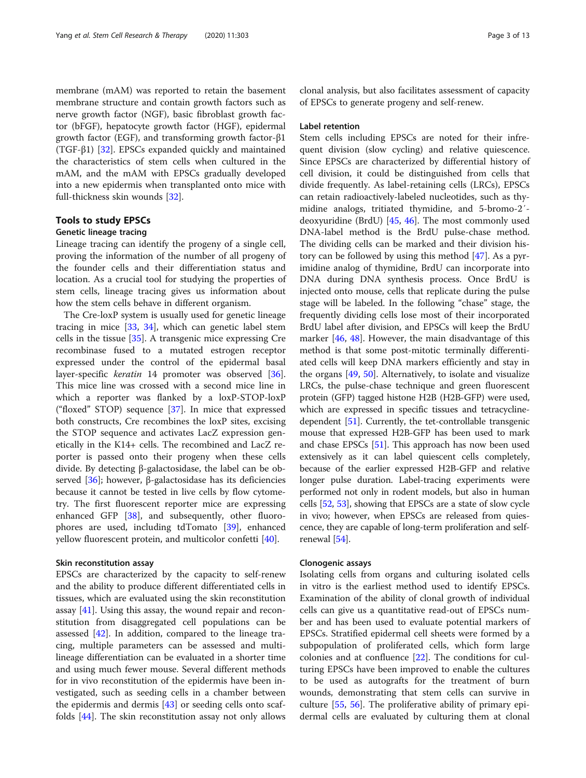membrane (mAM) was reported to retain the basement membrane structure and contain growth factors such as nerve growth factor (NGF), basic fibroblast growth factor (bFGF), hepatocyte growth factor (HGF), epidermal growth factor (EGF), and transforming growth factor-β1 (TGF-β1) [\[32](#page-9-0)]. EPSCs expanded quickly and maintained the characteristics of stem cells when cultured in the mAM, and the mAM with EPSCs gradually developed into a new epidermis when transplanted onto mice with full-thickness skin wounds [[32](#page-9-0)].

# Tools to study EPSCs

#### Genetic lineage tracing

Lineage tracing can identify the progeny of a single cell, proving the information of the number of all progeny of the founder cells and their differentiation status and location. As a crucial tool for studying the properties of stem cells, lineage tracing gives us information about how the stem cells behave in different organism.

The Cre-loxP system is usually used for genetic lineage tracing in mice [[33](#page-9-0), [34\]](#page-9-0), which can genetic label stem cells in the tissue [[35\]](#page-9-0). A transgenic mice expressing Cre recombinase fused to a mutated estrogen receptor expressed under the control of the epidermal basal layer-specific keratin 14 promoter was observed [\[36](#page-9-0)]. This mice line was crossed with a second mice line in which a reporter was flanked by a loxP-STOP-loxP ("floxed" STOP) sequence [[37\]](#page-9-0). In mice that expressed both constructs, Cre recombines the loxP sites, excising the STOP sequence and activates LacZ expression genetically in the K14+ cells. The recombined and LacZ reporter is passed onto their progeny when these cells divide. By detecting β-galactosidase, the label can be observed [ $36$ ]; however, β-galactosidase has its deficiencies because it cannot be tested in live cells by flow cytometry. The first fluorescent reporter mice are expressing enhanced GFP [[38](#page-9-0)], and subsequently, other fluorophores are used, including tdTomato [\[39](#page-10-0)], enhanced yellow fluorescent protein, and multicolor confetti [[40\]](#page-10-0).

# Skin reconstitution assay

EPSCs are characterized by the capacity to self-renew and the ability to produce different differentiated cells in tissues, which are evaluated using the skin reconstitution assay  $[41]$  $[41]$  $[41]$ . Using this assay, the wound repair and reconstitution from disaggregated cell populations can be assessed  $[42]$  $[42]$ . In addition, compared to the lineage tracing, multiple parameters can be assessed and multilineage differentiation can be evaluated in a shorter time and using much fewer mouse. Several different methods for in vivo reconstitution of the epidermis have been investigated, such as seeding cells in a chamber between the epidermis and dermis [[43\]](#page-10-0) or seeding cells onto scaffolds [[44\]](#page-10-0). The skin reconstitution assay not only allows clonal analysis, but also facilitates assessment of capacity of EPSCs to generate progeny and self-renew.

### Label retention

Stem cells including EPSCs are noted for their infrequent division (slow cycling) and relative quiescence. Since EPSCs are characterized by differential history of cell division, it could be distinguished from cells that divide frequently. As label-retaining cells (LRCs), EPSCs can retain radioactively-labeled nucleotides, such as thymidine analogs, tritiated thymidine, and 5-bromo-2′ deoxyuridine (BrdU) [[45,](#page-10-0) [46](#page-10-0)]. The most commonly used DNA-label method is the BrdU pulse-chase method. The dividing cells can be marked and their division history can be followed by using this method  $[47]$  $[47]$ . As a pyrimidine analog of thymidine, BrdU can incorporate into DNA during DNA synthesis process. Once BrdU is injected onto mouse, cells that replicate during the pulse stage will be labeled. In the following "chase" stage, the frequently dividing cells lose most of their incorporated BrdU label after division, and EPSCs will keep the BrdU marker [[46](#page-10-0), [48\]](#page-10-0). However, the main disadvantage of this method is that some post-mitotic terminally differentiated cells will keep DNA markers efficiently and stay in the organs [\[49](#page-10-0), [50](#page-10-0)]. Alternatively, to isolate and visualize LRCs, the pulse-chase technique and green fluorescent protein (GFP) tagged histone H2B (H2B-GFP) were used, which are expressed in specific tissues and tetracyclinedependent [[51](#page-10-0)]. Currently, the tet-controllable transgenic mouse that expressed H2B-GFP has been used to mark and chase EPSCs [[51](#page-10-0)]. This approach has now been used extensively as it can label quiescent cells completely, because of the earlier expressed H2B-GFP and relative longer pulse duration. Label-tracing experiments were performed not only in rodent models, but also in human cells [\[52,](#page-10-0) [53](#page-10-0)], showing that EPSCs are a state of slow cycle in vivo; however, when EPSCs are released from quiescence, they are capable of long-term proliferation and selfrenewal [[54](#page-10-0)].

# Clonogenic assays

Isolating cells from organs and culturing isolated cells in vitro is the earliest method used to identify EPSCs. Examination of the ability of clonal growth of individual cells can give us a quantitative read-out of EPSCs number and has been used to evaluate potential markers of EPSCs. Stratified epidermal cell sheets were formed by a subpopulation of proliferated cells, which form large colonies and at confluence [[22](#page-9-0)]. The conditions for culturing EPSCs have been improved to enable the cultures to be used as autografts for the treatment of burn wounds, demonstrating that stem cells can survive in culture [\[55](#page-10-0), [56\]](#page-10-0). The proliferative ability of primary epidermal cells are evaluated by culturing them at clonal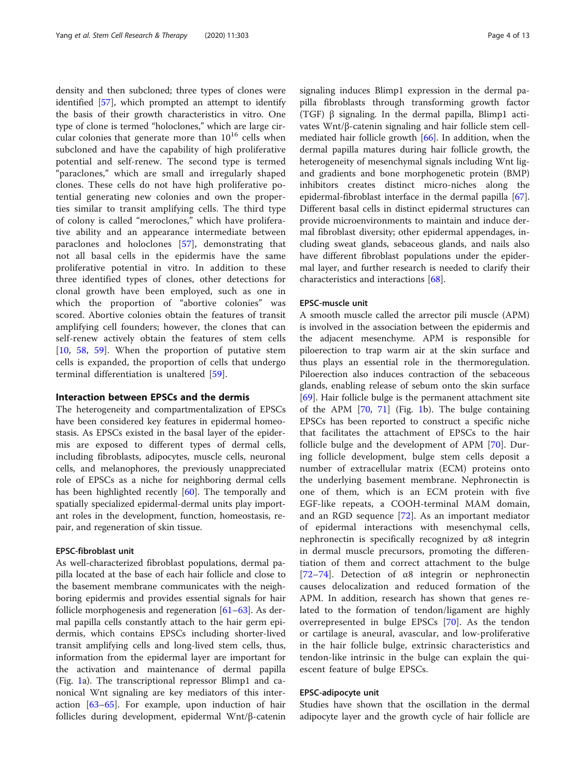density and then subcloned; three types of clones were identified [[57\]](#page-10-0), which prompted an attempt to identify the basis of their growth characteristics in vitro. One type of clone is termed "holoclones," which are large circular colonies that generate more than  $10^{16}$  cells when subcloned and have the capability of high proliferative potential and self-renew. The second type is termed "paraclones," which are small and irregularly shaped clones. These cells do not have high proliferative potential generating new colonies and own the properties similar to transit amplifying cells. The third type of colony is called "meroclones," which have proliferative ability and an appearance intermediate between paraclones and holoclones [[57\]](#page-10-0), demonstrating that not all basal cells in the epidermis have the same proliferative potential in vitro. In addition to these three identified types of clones, other detections for clonal growth have been employed, such as one in which the proportion of "abortive colonies" was scored. Abortive colonies obtain the features of transit amplifying cell founders; however, the clones that can self-renew actively obtain the features of stem cells [[10,](#page-9-0) [58,](#page-10-0) [59\]](#page-10-0). When the proportion of putative stem cells is expanded, the proportion of cells that undergo terminal differentiation is unaltered [[59\]](#page-10-0).

# Interaction between EPSCs and the dermis

The heterogeneity and compartmentalization of EPSCs have been considered key features in epidermal homeostasis. As EPSCs existed in the basal layer of the epidermis are exposed to different types of dermal cells, including fibroblasts, adipocytes, muscle cells, neuronal cells, and melanophores, the previously unappreciated role of EPSCs as a niche for neighboring dermal cells has been highlighted recently [[60\]](#page-10-0). The temporally and spatially specialized epidermal-dermal units play important roles in the development, function, homeostasis, repair, and regeneration of skin tissue.

# EPSC-fibroblast unit

As well-characterized fibroblast populations, dermal papilla located at the base of each hair follicle and close to the basement membrane communicates with the neighboring epidermis and provides essential signals for hair follicle morphogenesis and regeneration [\[61](#page-10-0)–[63\]](#page-10-0). As dermal papilla cells constantly attach to the hair germ epidermis, which contains EPSCs including shorter-lived transit amplifying cells and long-lived stem cells, thus, information from the epidermal layer are important for the activation and maintenance of dermal papilla (Fig. [1a](#page-4-0)). The transcriptional repressor Blimp1 and canonical Wnt signaling are key mediators of this interaction [[63](#page-10-0)–[65](#page-10-0)]. For example, upon induction of hair follicles during development, epidermal Wnt/β-catenin signaling induces Blimp1 expression in the dermal papilla fibroblasts through transforming growth factor (TGF) β signaling. In the dermal papilla, Blimp1 activates Wnt/β-catenin signaling and hair follicle stem cellmediated hair follicle growth [[66](#page-10-0)]. In addition, when the dermal papilla matures during hair follicle growth, the heterogeneity of mesenchymal signals including Wnt ligand gradients and bone morphogenetic protein (BMP) inhibitors creates distinct micro-niches along the epidermal-fibroblast interface in the dermal papilla [\[67](#page-10-0)]. Different basal cells in distinct epidermal structures can provide microenvironments to maintain and induce dermal fibroblast diversity; other epidermal appendages, including sweat glands, sebaceous glands, and nails also have different fibroblast populations under the epidermal layer, and further research is needed to clarify their characteristics and interactions [[68\]](#page-10-0).

# EPSC-muscle unit

A smooth muscle called the arrector pili muscle (APM) is involved in the association between the epidermis and the adjacent mesenchyme. APM is responsible for piloerection to trap warm air at the skin surface and thus plays an essential role in the thermoregulation. Piloerection also induces contraction of the sebaceous glands, enabling release of sebum onto the skin surface [[69\]](#page-10-0). Hair follicle bulge is the permanent attachment site of the APM [[70](#page-10-0), [71\]](#page-10-0) (Fig. [1](#page-4-0)b). The bulge containing EPSCs has been reported to construct a specific niche that facilitates the attachment of EPSCs to the hair follicle bulge and the development of APM [[70\]](#page-10-0). During follicle development, bulge stem cells deposit a number of extracellular matrix (ECM) proteins onto the underlying basement membrane. Nephronectin is one of them, which is an ECM protein with five EGF-like repeats, a COOH-terminal MAM domain, and an RGD sequence [[72\]](#page-10-0). As an important mediator of epidermal interactions with mesenchymal cells, nephronectin is specifically recognized by α8 integrin in dermal muscle precursors, promoting the differentiation of them and correct attachment to the bulge [[72](#page-10-0)–[74\]](#page-10-0). Detection of α8 integrin or nephronectin causes delocalization and reduced formation of the APM. In addition, research has shown that genes related to the formation of tendon/ligament are highly overrepresented in bulge EPSCs [[70\]](#page-10-0). As the tendon or cartilage is aneural, avascular, and low-proliferative in the hair follicle bulge, extrinsic characteristics and tendon-like intrinsic in the bulge can explain the quiescent feature of bulge EPSCs.

# EPSC-adipocyte unit

Studies have shown that the oscillation in the dermal adipocyte layer and the growth cycle of hair follicle are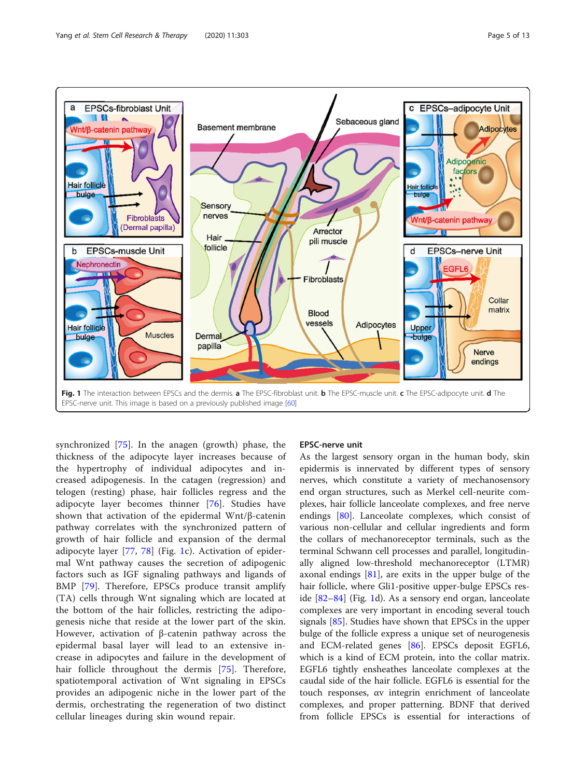<span id="page-4-0"></span>

synchronized [[75\]](#page-10-0). In the anagen (growth) phase, the thickness of the adipocyte layer increases because of the hypertrophy of individual adipocytes and increased adipogenesis. In the catagen (regression) and telogen (resting) phase, hair follicles regress and the adipocyte layer becomes thinner [[76\]](#page-11-0). Studies have shown that activation of the epidermal Wnt/β-catenin pathway correlates with the synchronized pattern of growth of hair follicle and expansion of the dermal adipocyte layer [\[77](#page-11-0), [78\]](#page-11-0) (Fig. 1c). Activation of epidermal Wnt pathway causes the secretion of adipogenic factors such as IGF signaling pathways and ligands of BMP [[79](#page-11-0)]. Therefore, EPSCs produce transit amplify (TA) cells through Wnt signaling which are located at the bottom of the hair follicles, restricting the adipogenesis niche that reside at the lower part of the skin. However, activation of β-catenin pathway across the epidermal basal layer will lead to an extensive increase in adipocytes and failure in the development of hair follicle throughout the dermis [\[75](#page-10-0)]. Therefore, spatiotemporal activation of Wnt signaling in EPSCs provides an adipogenic niche in the lower part of the dermis, orchestrating the regeneration of two distinct cellular lineages during skin wound repair.

# EPSC-nerve unit

As the largest sensory organ in the human body, skin epidermis is innervated by different types of sensory nerves, which constitute a variety of mechanosensory end organ structures, such as Merkel cell-neurite complexes, hair follicle lanceolate complexes, and free nerve endings [\[80](#page-11-0)]. Lanceolate complexes, which consist of various non-cellular and cellular ingredients and form the collars of mechanoreceptor terminals, such as the terminal Schwann cell processes and parallel, longitudinally aligned low-threshold mechanoreceptor (LTMR) axonal endings [[81\]](#page-11-0), are exits in the upper bulge of the hair follicle, where Gli1-positive upper-bulge EPSCs reside [\[82](#page-11-0)–[84\]](#page-11-0) (Fig. 1d). As a sensory end organ, lanceolate complexes are very important in encoding several touch signals [\[85\]](#page-11-0). Studies have shown that EPSCs in the upper bulge of the follicle express a unique set of neurogenesis and ECM-related genes [[86](#page-11-0)]. EPSCs deposit EGFL6, which is a kind of ECM protein, into the collar matrix. EGFL6 tightly ensheathes lanceolate complexes at the caudal side of the hair follicle. EGFL6 is essential for the touch responses, αv integrin enrichment of lanceolate complexes, and proper patterning. BDNF that derived from follicle EPSCs is essential for interactions of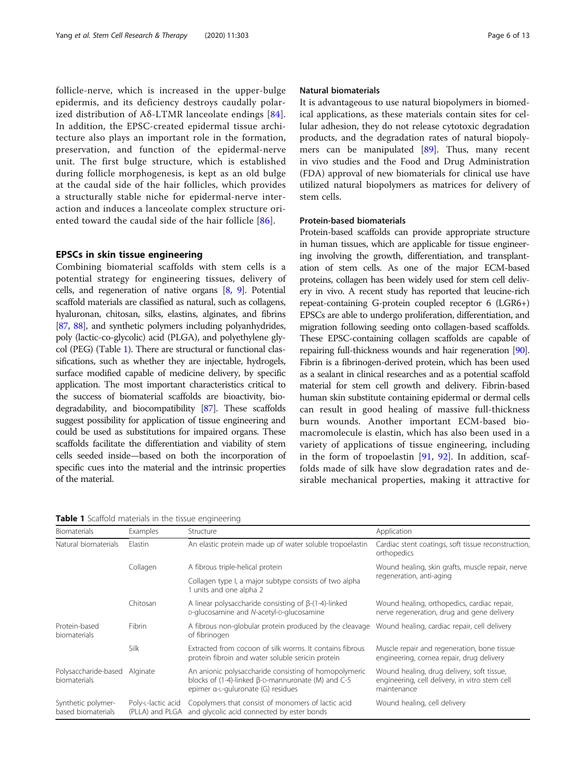follicle-nerve, which is increased in the upper-bulge epidermis, and its deficiency destroys caudally polarized distribution of A $\delta$ -LTMR lanceolate endings [[84](#page-11-0)]. In addition, the EPSC-created epidermal tissue architecture also plays an important role in the formation, preservation, and function of the epidermal-nerve unit. The first bulge structure, which is established during follicle morphogenesis, is kept as an old bulge at the caudal side of the hair follicles, which provides a structurally stable niche for epidermal-nerve interaction and induces a lanceolate complex structure oriented toward the caudal side of the hair follicle [\[86](#page-11-0)].

# EPSCs in skin tissue engineering

Combining biomaterial scaffolds with stem cells is a potential strategy for engineering tissues, delivery of cells, and regeneration of native organs [\[8,](#page-9-0) [9\]](#page-9-0). Potential scaffold materials are classified as natural, such as collagens, hyaluronan, chitosan, silks, elastins, alginates, and fibrins [[87](#page-11-0), [88](#page-11-0)], and synthetic polymers including polyanhydrides, poly (lactic-co-glycolic) acid (PLGA), and polyethylene glycol (PEG) (Table 1). There are structural or functional classifications, such as whether they are injectable, hydrogels, surface modified capable of medicine delivery, by specific application. The most important characteristics critical to the success of biomaterial scaffolds are bioactivity, biodegradability, and biocompatibility [\[87\]](#page-11-0). These scaffolds suggest possibility for application of tissue engineering and could be used as substitutions for impaired organs. These scaffolds facilitate the differentiation and viability of stem cells seeded inside—based on both the incorporation of specific cues into the material and the intrinsic properties of the material.

# Natural biomaterials

It is advantageous to use natural biopolymers in biomedical applications, as these materials contain sites for cellular adhesion, they do not release cytotoxic degradation products, and the degradation rates of natural biopolymers can be manipulated [\[89\]](#page-11-0). Thus, many recent in vivo studies and the Food and Drug Administration (FDA) approval of new biomaterials for clinical use have utilized natural biopolymers as matrices for delivery of stem cells.

# Protein-based biomaterials

Protein-based scaffolds can provide appropriate structure in human tissues, which are applicable for tissue engineering involving the growth, differentiation, and transplantation of stem cells. As one of the major ECM-based proteins, collagen has been widely used for stem cell delivery in vivo. A recent study has reported that leucine-rich repeat-containing G-protein coupled receptor 6 (LGR6+) EPSCs are able to undergo proliferation, differentiation, and migration following seeding onto collagen-based scaffolds. These EPSC-containing collagen scaffolds are capable of repairing full-thickness wounds and hair regeneration [\[90](#page-11-0)]. Fibrin is a fibrinogen-derived protein, which has been used as a sealant in clinical researches and as a potential scaffold material for stem cell growth and delivery. Fibrin-based human skin substitute containing epidermal or dermal cells can result in good healing of massive full-thickness burn wounds. Another important ECM-based biomacromolecule is elastin, which has also been used in a variety of applications of tissue engineering, including in the form of tropoelastin [[91,](#page-11-0) [92](#page-11-0)]. In addition, scaffolds made of silk have slow degradation rates and desirable mechanical properties, making it attractive for

Table 1 Scaffold materials in the tissue engineering

| <b>Biomaterials</b>                           | Examples                              | Structure                                                                                                                                                | Application                                                                                                 |
|-----------------------------------------------|---------------------------------------|----------------------------------------------------------------------------------------------------------------------------------------------------------|-------------------------------------------------------------------------------------------------------------|
| Natural biomaterials                          | Elastin                               | An elastic protein made up of water soluble tropoelastin                                                                                                 | Cardiac stent coatings, soft tissue reconstruction,<br>orthopedics                                          |
|                                               | Collagen                              | A fibrous triple-helical protein                                                                                                                         | Wound healing, skin grafts, muscle repair, nerve<br>regeneration, anti-aging                                |
|                                               |                                       | Collagen type I, a major subtype consists of two alpha<br>units and one alpha 2                                                                          |                                                                                                             |
|                                               | Chitosan                              | A linear polysaccharide consisting of $\beta$ -(1-4)-linked<br>D-glucosamine and N-acetyl-D-glucosamine                                                  | Wound healing, orthopedics, cardiac repair,<br>nerve regeneration, drug and gene delivery                   |
| Protein-based<br>biomaterials                 | <b>Fibrin</b>                         | A fibrous non-globular protein produced by the cleavage<br>of fibrinogen                                                                                 | Wound healing, cardiac repair, cell delivery                                                                |
|                                               | Silk                                  | Extracted from cocoon of silk worms. It contains fibrous<br>protein fibroin and water soluble sericin protein                                            | Muscle repair and regeneration, bone tissue<br>engineering, cornea repair, drug delivery                    |
| Polysaccharide-based Alginate<br>biomaterials |                                       | An anionic polysaccharide consisting of homopolymeric<br>blocks of (1-4)-linked $\beta$ -D-mannuronate (M) and C-5<br>epimer a-L-guluronate (G) residues | Wound healing, drug delivery, soft tissue,<br>engineering, cell delivery, in vitro stem cell<br>maintenance |
| Synthetic polymer-<br>based biomaterials      | Poly-L-lactic acid<br>(PLLA) and PLGA | Copolymers that consist of monomers of lactic acid<br>and glycolic acid connected by ester bonds                                                         | Wound healing, cell delivery                                                                                |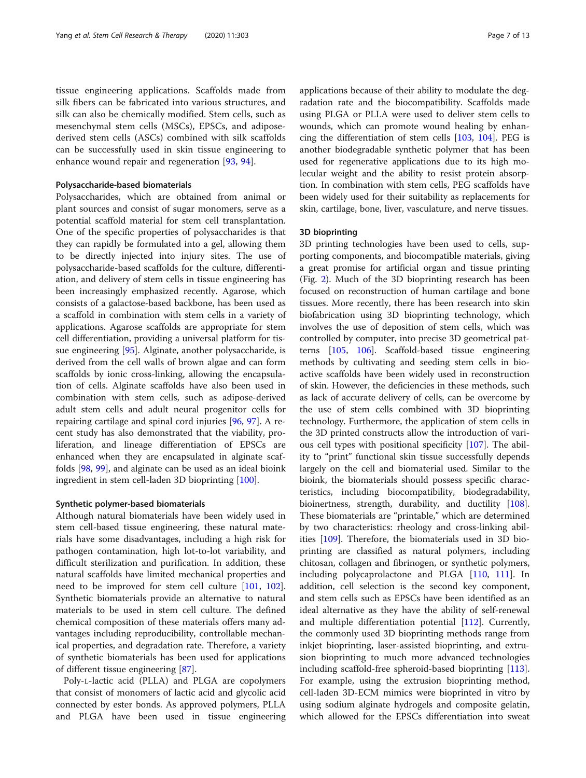tissue engineering applications. Scaffolds made from silk fibers can be fabricated into various structures, and silk can also be chemically modified. Stem cells, such as mesenchymal stem cells (MSCs), EPSCs, and adiposederived stem cells (ASCs) combined with silk scaffolds can be successfully used in skin tissue engineering to enhance wound repair and regeneration [[93,](#page-11-0) [94\]](#page-11-0).

### Polysaccharide-based biomaterials

Polysaccharides, which are obtained from animal or plant sources and consist of sugar monomers, serve as a potential scaffold material for stem cell transplantation. One of the specific properties of polysaccharides is that they can rapidly be formulated into a gel, allowing them to be directly injected into injury sites. The use of polysaccharide-based scaffolds for the culture, differentiation, and delivery of stem cells in tissue engineering has been increasingly emphasized recently. Agarose, which consists of a galactose-based backbone, has been used as a scaffold in combination with stem cells in a variety of applications. Agarose scaffolds are appropriate for stem cell differentiation, providing a universal platform for tissue engineering [\[95\]](#page-11-0). Alginate, another polysaccharide, is derived from the cell walls of brown algae and can form scaffolds by ionic cross-linking, allowing the encapsulation of cells. Alginate scaffolds have also been used in combination with stem cells, such as adipose-derived adult stem cells and adult neural progenitor cells for repairing cartilage and spinal cord injuries [[96,](#page-11-0) [97\]](#page-11-0). A recent study has also demonstrated that the viability, proliferation, and lineage differentiation of EPSCs are enhanced when they are encapsulated in alginate scaffolds [\[98](#page-11-0), [99](#page-11-0)], and alginate can be used as an ideal bioink ingredient in stem cell-laden 3D bioprinting [[100](#page-11-0)].

# Synthetic polymer-based biomaterials

Although natural biomaterials have been widely used in stem cell-based tissue engineering, these natural materials have some disadvantages, including a high risk for pathogen contamination, high lot-to-lot variability, and difficult sterilization and purification. In addition, these natural scaffolds have limited mechanical properties and need to be improved for stem cell culture [[101,](#page-11-0) [102](#page-11-0)]. Synthetic biomaterials provide an alternative to natural materials to be used in stem cell culture. The defined chemical composition of these materials offers many advantages including reproducibility, controllable mechanical properties, and degradation rate. Therefore, a variety of synthetic biomaterials has been used for applications of different tissue engineering [[87\]](#page-11-0).

Poly-L-lactic acid (PLLA) and PLGA are copolymers that consist of monomers of lactic acid and glycolic acid connected by ester bonds. As approved polymers, PLLA and PLGA have been used in tissue engineering applications because of their ability to modulate the degradation rate and the biocompatibility. Scaffolds made using PLGA or PLLA were used to deliver stem cells to wounds, which can promote wound healing by enhancing the differentiation of stem cells [[103,](#page-11-0) [104\]](#page-11-0). PEG is another biodegradable synthetic polymer that has been used for regenerative applications due to its high molecular weight and the ability to resist protein absorption. In combination with stem cells, PEG scaffolds have been widely used for their suitability as replacements for skin, cartilage, bone, liver, vasculature, and nerve tissues.

#### 3D bioprinting

3D printing technologies have been used to cells, supporting components, and biocompatible materials, giving a great promise for artificial organ and tissue printing (Fig. [2](#page-7-0)). Much of the 3D bioprinting research has been focused on reconstruction of human cartilage and bone tissues. More recently, there has been research into skin biofabrication using 3D bioprinting technology, which involves the use of deposition of stem cells, which was controlled by computer, into precise 3D geometrical patterns [\[105,](#page-11-0) [106](#page-11-0)]. Scaffold-based tissue engineering methods by cultivating and seeding stem cells in bioactive scaffolds have been widely used in reconstruction of skin. However, the deficiencies in these methods, such as lack of accurate delivery of cells, can be overcome by the use of stem cells combined with 3D bioprinting technology. Furthermore, the application of stem cells in the 3D printed constructs allow the introduction of various cell types with positional specificity [[107\]](#page-11-0). The ability to "print" functional skin tissue successfully depends largely on the cell and biomaterial used. Similar to the bioink, the biomaterials should possess specific characteristics, including biocompatibility, biodegradability, bioinertness, strength, durability, and ductility [[108](#page-11-0)]. These biomaterials are "printable," which are determined by two characteristics: rheology and cross-linking abilities [[109](#page-11-0)]. Therefore, the biomaterials used in 3D bioprinting are classified as natural polymers, including chitosan, collagen and fibrinogen, or synthetic polymers, including polycaprolactone and PLGA [[110](#page-11-0), [111](#page-12-0)]. In addition, cell selection is the second key component, and stem cells such as EPSCs have been identified as an ideal alternative as they have the ability of self-renewal and multiple differentiation potential [[112\]](#page-12-0). Currently, the commonly used 3D bioprinting methods range from inkjet bioprinting, laser-assisted bioprinting, and extrusion bioprinting to much more advanced technologies including scaffold-free spheroid-based bioprinting [[113](#page-12-0)]. For example, using the extrusion bioprinting method, cell-laden 3D-ECM mimics were bioprinted in vitro by using sodium alginate hydrogels and composite gelatin, which allowed for the EPSCs differentiation into sweat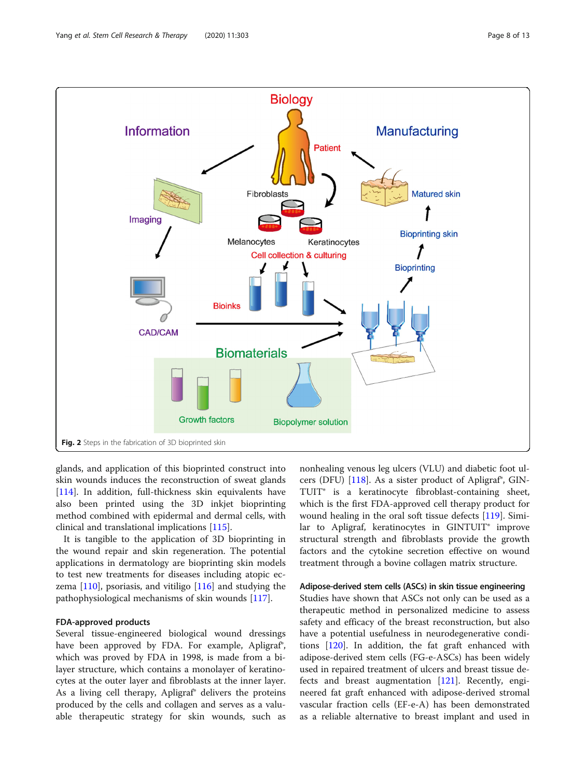<span id="page-7-0"></span>

glands, and application of this bioprinted construct into skin wounds induces the reconstruction of sweat glands [[114\]](#page-12-0). In addition, full-thickness skin equivalents have also been printed using the 3D inkjet bioprinting method combined with epidermal and dermal cells, with clinical and translational implications [[115\]](#page-12-0).

It is tangible to the application of 3D bioprinting in the wound repair and skin regeneration. The potential applications in dermatology are bioprinting skin models to test new treatments for diseases including atopic eczema  $[110]$  $[110]$ , psoriasis, and vitiligo  $[116]$  $[116]$  and studying the pathophysiological mechanisms of skin wounds [\[117\]](#page-12-0).

# FDA-approved products

Several tissue-engineered biological wound dressings have been approved by FDA. For example, Apligraf<sup>®</sup>, which was proved by FDA in 1998, is made from a bilayer structure, which contains a monolayer of keratinocytes at the outer layer and fibroblasts at the inner layer. As a living cell therapy, Apligraf® delivers the proteins produced by the cells and collagen and serves as a valuable therapeutic strategy for skin wounds, such as

nonhealing venous leg ulcers (VLU) and diabetic foot ulcers (DFU) [\[118\]](#page-12-0). As a sister product of Apligraf®, GIN-TUIT® is a keratinocyte fibroblast-containing sheet, which is the first FDA-approved cell therapy product for wound healing in the oral soft tissue defects [\[119](#page-12-0)]. Similar to Apligraf, keratinocytes in GINTUIT® improve structural strength and fibroblasts provide the growth factors and the cytokine secretion effective on wound treatment through a bovine collagen matrix structure.

# Adipose-derived stem cells (ASCs) in skin tissue engineering

Studies have shown that ASCs not only can be used as a therapeutic method in personalized medicine to assess safety and efficacy of the breast reconstruction, but also have a potential usefulness in neurodegenerative conditions [[120\]](#page-12-0). In addition, the fat graft enhanced with adipose-derived stem cells (FG-e-ASCs) has been widely used in repaired treatment of ulcers and breast tissue defects and breast augmentation [\[121\]](#page-12-0). Recently, engineered fat graft enhanced with adipose-derived stromal vascular fraction cells (EF-e-A) has been demonstrated as a reliable alternative to breast implant and used in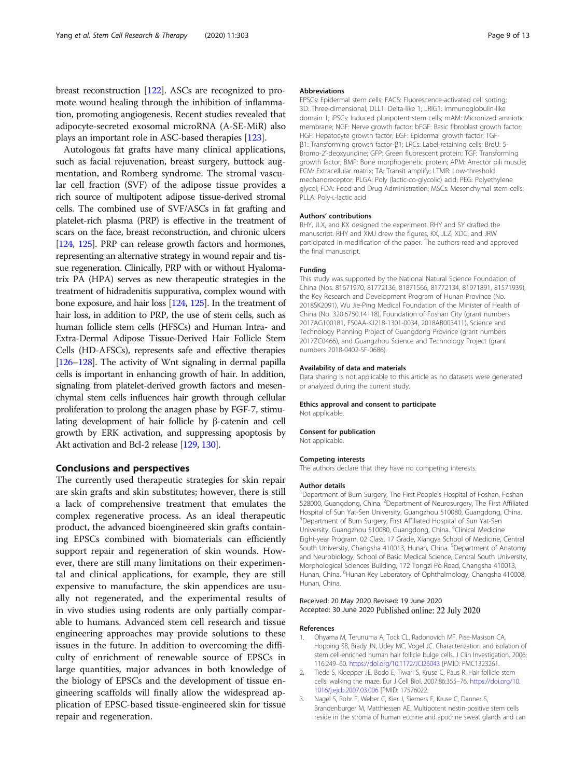<span id="page-8-0"></span>breast reconstruction [\[122\]](#page-12-0). ASCs are recognized to promote wound healing through the inhibition of inflammation, promoting angiogenesis. Recent studies revealed that adipocyte-secreted exosomal microRNA (A-SE-MiR) also plays an important role in ASC-based therapies [\[123\]](#page-12-0).

Autologous fat grafts have many clinical applications, such as facial rejuvenation, breast surgery, buttock augmentation, and Romberg syndrome. The stromal vascular cell fraction (SVF) of the adipose tissue provides a rich source of multipotent adipose tissue-derived stromal cells. The combined use of SVF/ASCs in fat grafting and platelet-rich plasma (PRP) is effective in the treatment of scars on the face, breast reconstruction, and chronic ulcers [[124,](#page-12-0) [125\]](#page-12-0). PRP can release growth factors and hormones, representing an alternative strategy in wound repair and tissue regeneration. Clinically, PRP with or without Hyalomatrix PA (HPA) serves as new therapeutic strategies in the treatment of hidradenitis suppurativa, complex wound with bone exposure, and hair loss [\[124,](#page-12-0) [125\]](#page-12-0). In the treatment of hair loss, in addition to PRP, the use of stem cells, such as human follicle stem cells (HFSCs) and Human Intra- and Extra-Dermal Adipose Tissue-Derived Hair Follicle Stem Cells (HD-AFSCs), represents safe and effective therapies [[126](#page-12-0)–[128\]](#page-12-0). The activity of Wnt signaling in dermal papilla cells is important in enhancing growth of hair. In addition, signaling from platelet-derived growth factors and mesenchymal stem cells influences hair growth through cellular proliferation to prolong the anagen phase by FGF-7, stimulating development of hair follicle by β-catenin and cell growth by ERK activation, and suppressing apoptosis by Akt activation and Bcl-2 release [\[129](#page-12-0), [130](#page-12-0)].

# Conclusions and perspectives

The currently used therapeutic strategies for skin repair are skin grafts and skin substitutes; however, there is still a lack of comprehensive treatment that emulates the complex regenerative process. As an ideal therapeutic product, the advanced bioengineered skin grafts containing EPSCs combined with biomaterials can efficiently support repair and regeneration of skin wounds. However, there are still many limitations on their experimental and clinical applications, for example, they are still expensive to manufacture, the skin appendices are usually not regenerated, and the experimental results of in vivo studies using rodents are only partially comparable to humans. Advanced stem cell research and tissue engineering approaches may provide solutions to these issues in the future. In addition to overcoming the difficulty of enrichment of renewable source of EPSCs in large quantities, major advances in both knowledge of the biology of EPSCs and the development of tissue engineering scaffolds will finally allow the widespread application of EPSC-based tissue-engineered skin for tissue repair and regeneration.

#### Abbreviations

EPSCs: Epidermal stem cells; FACS: Fluorescence-activated cell sorting; 3D: Three-dimensional; DLL1: Delta-like 1; LRIG1: Immunoglobulin-like domain 1; iPSCs: Induced pluripotent stem cells; mAM: Micronized amniotic membrane; NGF: Nerve growth factor; bFGF: Basic fibroblast growth factor; HGF: Hepatocyte growth factor; EGF: Epidermal growth factor; TGFβ1: Transforming growth factor-β1; LRCs: Label-retaining cells; BrdU: 5- Bromo-2′-deoxyuridine; GFP: Green fluorescent protein; TGF: Transforming growth factor; BMP: Bone morphogenetic protein; APM: Arrector pili muscle; ECM: Extracellular matrix; TA: Transit amplify; LTMR: Low-threshold mechanoreceptor; PLGA: Poly (lactic-co-glycolic) acid; PEG: Polyethylene glycol; FDA: Food and Drug Administration; MSCs: Mesenchymal stem cells; PLLA: Poly-L-lactic acid

#### Authors' contributions

RHY, JLX, and KX designed the experiment. RHY and SY drafted the manuscript. RHY and XMJ drew the figures, KX, JLZ, XDC, and JRW participated in modification of the paper. The authors read and approved the final manuscript.

#### Funding

This study was supported by the National Natural Science Foundation of China (Nos. 81671970, 81772136, 81871566, 81772134, 81971891, 81571939), the Key Research and Development Program of Hunan Province (No. 2018SK2091), Wu Jie-Ping Medical Foundation of the Minister of Health of China (No. 320.6750.14118), Foundation of Foshan City (grant numbers 2017AG100181, FS0AA-KJ218-1301-0034, 2018AB003411), Science and Technology Planning Project of Guangdong Province (grant numbers 2017ZC0466), and Guangzhou Science and Technology Project (grant numbers 2018-0402-SF-0686).

#### Availability of data and materials

Data sharing is not applicable to this article as no datasets were generated or analyzed during the current study.

#### Ethics approval and consent to participate

Not applicable.

#### Consent for publication

Not applicable.

### Competing interests

The authors declare that they have no competing interests.

#### Author details

<sup>1</sup>Department of Burn Surgery, The First People's Hospital of Foshan, Foshan 528000, Guangdong, China. <sup>2</sup>Department of Neurosurgery, The First Affiliated Hospital of Sun Yat-Sen University, Guangzhou 510080, Guangdong, China. <sup>3</sup>Department of Burn Surgery, First Affiliated Hospital of Sun Yat-Sen University, Guangzhou 510080, Guangdong, China. <sup>4</sup>Clinical Medicine Eight-year Program, 02 Class, 17 Grade, Xiangya School of Medicine, Central South University, Changsha 410013, Hunan, China. <sup>5</sup>Department of Anatomy and Neurobiology, School of Basic Medical Science, Central South University, Morphological Sciences Building, 172 Tongzi Po Road, Changsha 410013, Hunan, China. <sup>6</sup>Hunan Key Laboratory of Ophthalmology, Changsha 410008, Hunan, China.

# Received: 20 May 2020 Revised: 19 June 2020 Accepted: 30 June 2020 Published online: 22 July 2020

#### References

- 1. Ohyama M, Terunuma A, Tock CL, Radonovich MF, Pise-Masison CA, Hopping SB, Brady JN, Udey MC, Vogel JC. Characterization and isolation of stem cell-enriched human hair follicle bulge cells. J Clin Investigation. 2006; 116:249–60. <https://doi.org/10.1172/JCI26043> [PMID: PMC1323261.
- 2. Tiede S, Kloepper JE, Bodo E, Tiwari S, Kruse C, Paus R. Hair follicle stem cells: walking the maze. Eur J Cell Biol. 2007;86:355–76. [https://doi.org/10.](https://doi.org/10.1016/j.ejcb.2007.03.006) [1016/j.ejcb.2007.03.006](https://doi.org/10.1016/j.ejcb.2007.03.006) [PMID: 17576022.
- 3. Nagel S, Rohr F, Weber C, Kier J, Siemers F, Kruse C, Danner S, Brandenburger M, Matthiessen AE. Multipotent nestin-positive stem cells reside in the stroma of human eccrine and apocrine sweat glands and can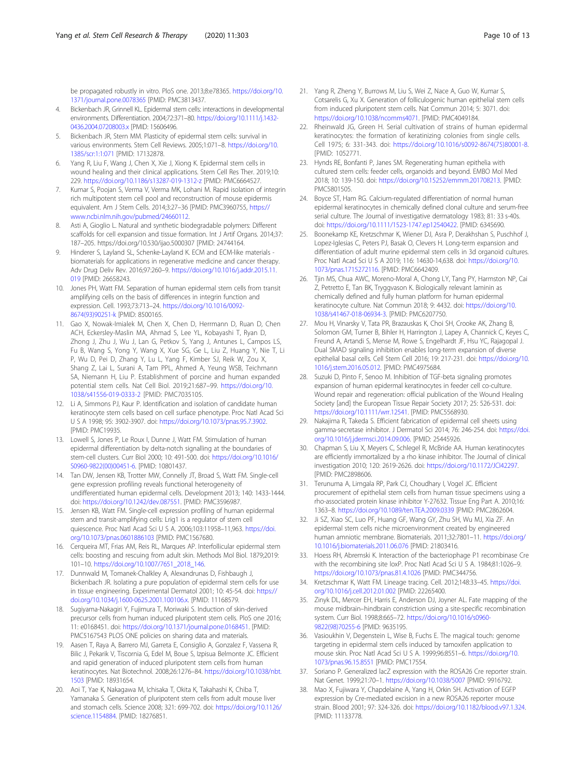<span id="page-9-0"></span>be propagated robustly in vitro. PloS one. 2013;8:e78365. [https://doi.org/10.](https://doi.org/10.1371/journal.pone.0078365) [1371/journal.pone.0078365](https://doi.org/10.1371/journal.pone.0078365) [PMID: PMC3813437.

- 4. Bickenbach JR, Grinnell KL. Epidermal stem cells: interactions in developmental environments. Differentiation. 2004;72:371–80. [https://doi.org/10.1111/j.1432-](https://doi.org/10.1111/j.1432-0436.2004.07208003.x) [0436.2004.07208003.x](https://doi.org/10.1111/j.1432-0436.2004.07208003.x) [PMID: 15606496.
- 5. Bickenbach JR, Stern MM. Plasticity of epidermal stem cells: survival in various environments. Stem Cell Reviews. 2005;1:071–8. [https://doi.org/10.](https://doi.org/10.1385/scr:1:1:071) [1385/scr:1:1:071](https://doi.org/10.1385/scr:1:1:071) [PMID: 17132878.
- 6. Yang R, Liu F, Wang J, Chen X, Xie J, Xiong K. Epidermal stem cells in wound healing and their clinical applications. Stem Cell Res Ther. 2019;10: 229. <https://doi.org/10.1186/s13287-019-1312-z> [PMID: PMC6664527.
- 7. Kumar S, Poojan S, Verma V, Verma MK, Lohani M. Rapid isolation of integrin rich multipotent stem cell pool and reconstruction of mouse epidermis equivalent. Am J Stem Cells. 2014;3:27–36 [PMID: PMC3960755, [https://](https://www.ncbi.nlm.nih.gov/pubmed/24660112) [www.ncbi.nlm.nih.gov/pubmed/24660112.](https://www.ncbi.nlm.nih.gov/pubmed/24660112)
- Asti A, Gioglio L. Natural and synthetic biodegradable polymers: Different scaffolds for cell expansion and tissue formation. Int J Artif Organs. 2014;37: 187–205. https://doi.org/10.530/ijao.5000307 [PMID: 24744164.
- 9. Hinderer S, Layland SL, Schenke-Layland K. ECM and ECM-like materials biomaterials for applications in regenerative medicine and cancer therapy. Adv Drug Deliv Rev. 2016;97:260–9. [https://doi.org/10.1016/j.addr.2015.11.](https://doi.org/10.1016/j.addr.2015.11.019) [019](https://doi.org/10.1016/j.addr.2015.11.019) [PMID: 26658243.
- 10. Jones PH, Watt FM. Separation of human epidermal stem cells from transit amplifying cells on the basis of differences in integrin function and expression. Cell. 1993;73:713–24. [https://doi.org/10.1016/0092-](https://doi.org/10.1016/0092-8674(93)90251-k) [8674\(93\)90251-k](https://doi.org/10.1016/0092-8674(93)90251-k) [PMID: 8500165.
- 11. Gao X, Nowak-Imialek M, Chen X, Chen D, Herrmann D, Ruan D, Chen ACH, Eckersley-Maslin MA, Ahmad S, Lee YL, Kobayashi T, Ryan D, Zhong J, Zhu J, Wu J, Lan G, Petkov S, Yang J, Antunes L, Campos LS, Fu B, Wang S, Yong Y, Wang X, Xue SG, Ge L, Liu Z, Huang Y, Nie T, Li P, Wu D, Pei D, Zhang Y, Lu L, Yang F, Kimber SJ, Reik W, Zou X, Shang Z, Lai L, Surani A, Tam PPL, Ahmed A, Yeung WSB, Teichmann SA, Niemann H, Liu P. Establishment of porcine and human expanded potential stem cells. Nat Cell Biol. 2019;21:687–99. [https://doi.org/10.](https://doi.org/10.1038/s41556-019-0333-2) [1038/s41556-019-0333-2](https://doi.org/10.1038/s41556-019-0333-2) [PMID: PMC7035105.
- 12. Li A, Simmons PJ, Kaur P. Identification and isolation of candidate human keratinocyte stem cells based on cell surface phenotype. Proc Natl Acad Sci U S A 1998; 95: 3902-3907. doi: <https://doi.org/10.1073/pnas.95.7.3902>. [PMID: PMC19935.
- 13. Lowell S, Jones P, Le Roux I, Dunne J, Watt FM. Stimulation of human epidermal differentiation by delta-notch signalling at the boundaries of stem-cell clusters. Curr Biol 2000; 10: 491-500. doi: [https://doi.org/10.1016/](https://doi.org/10.1016/S0960-9822(00)00451-6) [S0960-9822\(00\)00451-6](https://doi.org/10.1016/S0960-9822(00)00451-6). [PMID: 10801437.
- 14. Tan DW, Jensen KB, Trotter MW, Connelly JT, Broad S, Watt FM. Single-cell gene expression profiling reveals functional heterogeneity of undifferentiated human epidermal cells. Development 2013; 140: 1433-1444. doi: <https://doi.org/10.1242/dev.087551>. [PMID: PMC3596987.
- 15. Jensen KB, Watt FM. Single-cell expression profiling of human epidermal stem and transit-amplifying cells: Lrig1 is a regulator of stem cell quiescence. Proc Natl Acad Sci U S A. 2006;103:11958–11,963. [https://doi.](https://doi.org/10.1073/pnas.0601886103) [org/10.1073/pnas.0601886103](https://doi.org/10.1073/pnas.0601886103) [PMID: PMC1567680.
- 16. Cerqueira MT, Frias AM, Reis RL, Marques AP. Interfollicular epidermal stem cells: boosting and rescuing from adult skin. Methods Mol Biol. 1879;2019: 101–10. [https://doi.org/10.1007/7651\\_2018\\_146](https://doi.org/10.1007/7651_2018_146).
- 17. Dunnwald M, Tomanek-Chalkley A, Alexandrunas D, Fishbaugh J, Bickenbach JR. Isolating a pure population of epidermal stem cells for use in tissue engineering. Experimental Dermatol 2001; 10: 45-54. doi: [https://](https://doi.org/10.1034/j.1600-0625.2001.100106.x) [doi.org/10.1034/j.1600-0625.2001.100106.x](https://doi.org/10.1034/j.1600-0625.2001.100106.x). [PMID: 11168579.
- 18. Sugiyama-Nakagiri Y, Fujimura T, Moriwaki S. Induction of skin-derived precursor cells from human induced pluripotent stem cells. PloS one 2016; 11: e0168451. doi: [https://doi.org/10.1371/journal.pone.0168451.](https://doi.org/10.1371/journal.pone.0168451) [PMID: PMC5167543 PLOS ONE policies on sharing data and materials.
- 19. Aasen T, Raya A, Barrero MJ, Garreta E, Consiglio A, Gonzalez F, Vassena R, Bilic J, Pekarik V, Tiscornia G, Edel M, Boue S, Izpisua Belmonte JC. Efficient and rapid generation of induced pluripotent stem cells from human keratinocytes. Nat Biotechnol. 2008;26:1276–84. [https://doi.org/10.1038/nbt.](https://doi.org/10.1038/nbt.1503) [1503](https://doi.org/10.1038/nbt.1503) [PMID: 18931654.
- 20. Aoi T, Yae K, Nakagawa M, Ichisaka T, Okita K, Takahashi K, Chiba T, Yamanaka S. Generation of pluripotent stem cells from adult mouse liver and stomach cells. Science 2008; 321: 699-702. doi: [https://doi.org/10.1126/](https://doi.org/10.1126/science.1154884) [science.1154884.](https://doi.org/10.1126/science.1154884) [PMID: 18276851.
- 21. Yang R, Zheng Y, Burrows M, Liu S, Wei Z, Nace A, Guo W, Kumar S, Cotsarelis G, Xu X. Generation of folliculogenic human epithelial stem cells from induced pluripotent stem cells. Nat Commun 2014; 5: 3071. doi: <https://doi.org/10.1038/ncomms4071>. [PMID: PMC4049184.
- 22. Rheinwald JG, Green H. Serial cultivation of strains of human epidermal keratinocytes: the formation of keratinizing colonies from single cells. Cell 1975; 6: 331-343. doi: [https://doi.org/10.1016/s0092-8674\(75\)80001-8](https://doi.org/10.1016/s0092-8674(75)80001-8). [PMID: 1052771.
- 23. Hynds RE, Bonfanti P, Janes SM. Regenerating human epithelia with cultured stem cells: feeder cells, organoids and beyond. EMBO Mol Med 2018; 10: 139-150. doi: <https://doi.org/10.15252/emmm.201708213>. [PMID: PMC5801505.
- 24. Boyce ST, Ham RG. Calcium-regulated differentiation of normal human epidermal keratinocytes in chemically defined clonal culture and serum-free serial culture. The Journal of investigative dermatology 1983; 81: 33 s-40s. doi: [https://doi.org/10.1111/1523-1747.ep12540422.](https://doi.org/10.1111/1523-1747.ep12540422) [PMID: 6345690.
- 25. Boonekamp KE, Kretzschmar K, Wiener DJ, Asra P, Derakhshan S, Puschhof J, Lopez-Iglesias C, Peters PJ, Basak O, Clevers H. Long-term expansion and differentiation of adult murine epidermal stem cells in 3d organoid cultures. Proc Natl Acad Sci U S A 2019; 116: 14630-14,638. doi: [https://doi.org/10.](https://doi.org/10.1073/pnas.1715272116.) [1073/pnas.1715272116.](https://doi.org/10.1073/pnas.1715272116.) [PMID: PMC6642409.
- 26. Tjin MS, Chua AWC, Moreno-Moral A, Chong LY, Tang PY, Harmston NP, Cai Z, Petretto E, Tan BK, Tryggvason K. Biologically relevant laminin as chemically defined and fully human platform for human epidermal keratinocyte culture. Nat Commun 2018; 9: 4432. doi: [https://doi.org/10.](https://doi.org/10.1038/s41467-018-06934-3) [1038/s41467-018-06934-3](https://doi.org/10.1038/s41467-018-06934-3). [PMID: PMC6207750.
- 27. Mou H, Vinarsky V, Tata PR, Brazauskas K, Choi SH, Crooke AK, Zhang B, Solomon GM, Turner B, Bihler H, Harrington J, Lapey A, Channick C, Keyes C, Freund A, Artandi S, Mense M, Rowe S, Engelhardt JF, Hsu YC, Rajagopal J. Dual SMAD signaling inhibition enables long-term expansion of diverse epithelial basal cells. Cell Stem Cell 2016; 19: 217-231. doi: [https://doi.org/10.](https://doi.org/10.1016/j.stem.2016.05.012) [1016/j.stem.2016.05.012.](https://doi.org/10.1016/j.stem.2016.05.012) [PMID: PMC4975684.
- 28. Suzuki D, Pinto F, Senoo M. Inhibition of TGF-beta signaling promotes expansion of human epidermal keratinocytes in feeder cell co-culture. Wound repair and regeneration: official publication of the Wound Healing Society [and] the European Tissue Repair Society 2017; 25: 526-531. doi: <https://doi.org/10.1111/wrr.12541>. [PMID: PMC5568930.
- 29. Nakajima R, Takeda S. Efficient fabrication of epidermal cell sheets using gamma-secretase inhibitor. J Dermatol Sci 2014; 76: 246-254. doi: [https://doi.](https://doi.org/10.1016/j.jdermsci.2014.09.006) [org/10.1016/j.jdermsci.2014.09.006.](https://doi.org/10.1016/j.jdermsci.2014.09.006) [PMID: 25445926.
- 30. Chapman S, Liu X, Meyers C, Schlegel R, McBride AA. Human keratinocytes are efficiently immortalized by a rho kinase inhibitor. The Journal of clinical investigation 2010; 120: 2619-2626. doi: <https://doi.org/10.1172/JCI42297>. [PMID: PMC2898606.
- 31. Terunuma A, Limgala RP, Park CJ, Choudhary I, Vogel JC. Efficient procurement of epithelial stem cells from human tissue specimens using a rho-associated protein kinase inhibitor Y-27632. Tissue Eng Part A. 2010;16: 1363–8. <https://doi.org/10.1089/ten.TEA.2009.0339> [PMID: PMC2862604.
- 32. Ji SZ, Xiao SC, Luo PF, Huang GF, Wang GY, Zhu SH, Wu MJ, Xia ZF. An epidermal stem cells niche microenvironment created by engineered human amniotic membrane. Biomaterials. 2011;32:7801–11. [https://doi.org/](https://doi.org/10.1016/j.biomaterials.2011.06.076) [10.1016/j.biomaterials.2011.06.076](https://doi.org/10.1016/j.biomaterials.2011.06.076) [PMID: 21803416.
- 33. Hoess RH, Abremski K. Interaction of the bacteriophage P1 recombinase Cre with the recombining site loxP. Proc Natl Acad Sci U S A. 1984;81:1026–9. <https://doi.org/10.1073/pnas.81.4.1026> [PMID: PMC344756.
- 34. Kretzschmar K, Watt FM. Lineage tracing. Cell. 2012;148:33–45. [https://doi.](https://doi.org/10.1016/j.cell.2012.01.002) [org/10.1016/j.cell.2012.01.002](https://doi.org/10.1016/j.cell.2012.01.002) [PMID: 22265400.
- 35. Zinyk DL, Mercer EH, Harris E, Anderson DJ, Joyner AL. Fate mapping of the mouse midbrain–hindbrain constriction using a site-specific recombination system. Curr Biol. 1998;8:665–72. [https://doi.org/10.1016/s0960-](https://doi.org/10.1016/s0960-9822(98)70255-6) [9822\(98\)70255-6](https://doi.org/10.1016/s0960-9822(98)70255-6) [PMID: 9635195.
- 36. Vasioukhin V, Degenstein L, Wise B, Fuchs E. The magical touch: genome targeting in epidermal stem cells induced by tamoxifen application to mouse skin. Proc Natl Acad Sci U S A. 1999;96:8551–6. [https://doi.org/10.](https://doi.org/10.1073/pnas.96.15.8551) [1073/pnas.96.15.8551](https://doi.org/10.1073/pnas.96.15.8551) [PMID: PMC17554.
- 37. Soriano P. Generalized lacZ expression with the ROSA26 Cre reporter strain. Nat Genet. 1999;21:70–1. <https://doi.org/10.1038/5007> [PMID: 9916792.
- 38. Mao X, Fujiwara Y, Chapdelaine A, Yang H, Orkin SH. Activation of EGFP expression by Cre-mediated excision in a new ROSA26 reporter mouse strain. Blood 2001; 97: 324-326. doi: [https://doi.org/10.1182/blood.v97.1.324.](https://doi.org/10.1182/blood.v97.1.324) [PMID: 11133778.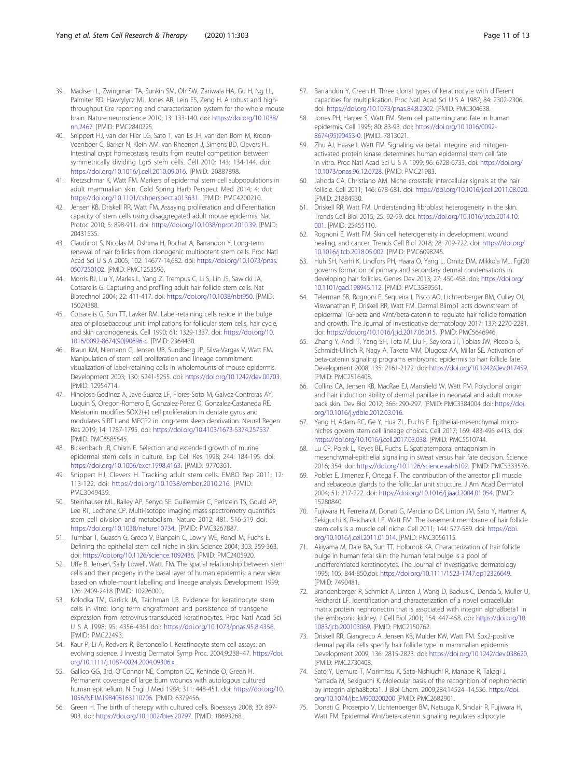- <span id="page-10-0"></span>39. Madisen L, Zwingman TA, Sunkin SM, Oh SW, Zariwala HA, Gu H, Ng LL, Palmiter RD, Hawrylycz MJ, Jones AR, Lein ES, Zeng H. A robust and highthroughput Cre reporting and characterization system for the whole mouse brain. Nature neuroscience 2010; 13: 133-140. doi: [https://doi.org/10.1038/](https://doi.org/10.1038/nn.2467) [nn.2467](https://doi.org/10.1038/nn.2467). [PMID: PMC2840225.
- 40. Snippert HJ, van der Flier LG, Sato T, van Es JH, van den Born M, Kroon-Veenboer C, Barker N, Klein AM, van Rheenen J, Simons BD, Clevers H. Intestinal crypt homeostasis results from neutral competition between symmetrically dividing Lgr5 stem cells. Cell 2010; 143: 134-144. doi: <https://doi.org/10.1016/j.cell.2010.09.016>. [PMID: 20887898.
- 41. Kretzschmar K, Watt FM. Markers of epidermal stem cell subpopulations in adult mammalian skin. Cold Spring Harb Perspect Med 2014; 4: doi: [https://doi.org/10.1101/cshperspect.a013631.](https://doi.org/10.1101/cshperspect.a013631) [PMID: PMC4200210.
- 42. Jensen KB, Driskell RR, Watt FM. Assaying proliferation and differentiation capacity of stem cells using disaggregated adult mouse epidermis. Nat Protoc 2010; 5: 898-911. doi: <https://doi.org/10.1038/nprot.2010.39>. [PMID: 20431535.
- 43. Claudinot S, Nicolas M, Oshima H, Rochat A, Barrandon Y. Long-term renewal of hair follicles from clonogenic multipotent stem cells. Proc Natl Acad Sci U S A 2005; 102: 14677-14,682. doi: [https://doi.org/10.1073/pnas.](https://doi.org/10.1073/pnas.0507250102) [0507250102.](https://doi.org/10.1073/pnas.0507250102) [PMID: PMC1253596.
- 44. Morris RJ, Liu Y, Marles L, Yang Z, Trempus C, Li S, Lin JS, Sawicki JA, Cotsarelis G. Capturing and profiling adult hair follicle stem cells. Nat Biotechnol 2004; 22: 411-417. doi: [https://doi.org/10.1038/nbt950.](https://doi.org/10.1038/nbt950) [PMID: 15024388.
- 45. Cotsarelis G, Sun TT, Lavker RM. Label-retaining cells reside in the bulge area of pilosebaceous unit: implications for follicular stem cells, hair cycle, and skin carcinogenesis. Cell 1990; 61: 1329-1337. doi: [https://doi.org/10.](https://doi.org/10.1016/0092-8674(90)90696-c) [1016/0092-8674\(90\)90696-c.](https://doi.org/10.1016/0092-8674(90)90696-c) [PMID: 2364430.
- 46. Braun KM, Niemann C, Jensen UB, Sundberg JP, Silva-Vargas V, Watt FM. Manipulation of stem cell proliferation and lineage commitment: visualization of label-retaining cells in wholemounts of mouse epidermis. Development 2003; 130: 5241-5255. doi: <https://doi.org/10.1242/dev.00703>. [PMID: 12954714.
- 47. Hinojosa-Godinez A, Jave-Suarez LF, Flores-Soto M, Galvez-Contreras AY, Luquin S, Oregon-Romero E, Gonzalez-Perez O, Gonzalez-Castaneda RE. Melatonin modifies SOX2(+) cell proliferation in dentate gyrus and modulates SIRT1 and MECP2 in long-term sleep deprivation. Neural Regen Res 2019; 14: 1787-1795. doi: [https://doi.org/10.4103/1673-5374.257537.](https://doi.org/10.4103/1673-5374.257537) [PMID: PMC6585545.
- 48. Bickenbach JR, Chism E. Selection and extended growth of murine epidermal stem cells in culture. Exp Cell Res 1998; 244: 184-195. doi: [https://doi.org/10.1006/excr.1998.4163.](https://doi.org/10.1006/excr.1998.4163) [PMID: 9770361.
- 49. Snippert HJ, Clevers H. Tracking adult stem cells. EMBO Rep 2011; 12: 113-122. doi: <https://doi.org/10.1038/embor.2010.216>. [PMID: PMC3049439.
- 50. Steinhauser ML, Bailey AP, Senyo SE, Guillermier C, Perlstein TS, Gould AP, Lee RT, Lechene CP. Multi-isotope imaging mass spectrometry quantifies stem cell division and metabolism. Nature 2012; 481: 516-519 doi: <https://doi.org/10.1038/nature10734>. [PMID: PMC3267887.
- 51. Tumbar T, Guasch G, Greco V, Blanpain C, Lowry WE, Rendl M, Fuchs E. Defining the epithelial stem cell niche in skin. Science 2004; 303: 359-363. doi: <https://doi.org/10.1126/science.1092436>. [PMID: PMC2405920.
- 52. Uffe B. Jensen, Sally Lowell, Watt. FM. The spatial relationship between stem cells and their progeny in the basal layer of human epidermis: a new view based on whole-mount labelling and lineage analysis. Development 1999; 126: 2409-2418 [PMID: 10226000,.
- 53. Kolodka TM, Garlick JA, Taichman LB. Evidence for keratinocyte stem cells in vitro: long term engraftment and persistence of transgene expression from retrovirus-transduced keratinocytes. Proc Natl Acad Sci U S A 1998; 95: 4356-4361.doi: <https://doi.org/10.1073/pnas.95.8.4356>. [PMID: PMC22493.
- 54. Kaur P, Li A, Redvers R, Bertoncello I. Keratinocyte stem cell assays: an evolving science. J Investig Dermatol Symp Proc. 2004;9:238–47. [https://doi.](https://doi.org/10.1111/j.1087-0024.2004.09306.x) [org/10.1111/j.1087-0024.2004.09306.x](https://doi.org/10.1111/j.1087-0024.2004.09306.x).
- 55. Gallico GG, 3rd, O''Connor NE, Compton CC, Kehinde O, Green H. Permanent coverage of large burn wounds with autologous cultured human epithelium. N Engl J Med 1984; 311: 448-451. doi: [https://doi.org/10.](https://doi.org/10.1056/NEJM198408163110706) [1056/NEJM198408163110706.](https://doi.org/10.1056/NEJM198408163110706) [PMID: 6379456.
- 56. Green H. The birth of therapy with cultured cells. Bioessays 2008; 30: 897- 903. doi: [https://doi.org/10.1002/bies.20797.](https://doi.org/10.1002/bies.20797) [PMID: 18693268.
- 57. Barrandon Y, Green H. Three clonal types of keratinocyte with different capacities for multiplication. Proc Natl Acad Sci U S A 1987; 84: 2302-2306. doi: <https://doi.org/10.1073/pnas.84.8.2302>. [PMID: PMC304638.
- 58. Jones PH, Harper S, Watt FM. Stem cell patterning and fate in human epidermis. Cell 1995; 80: 83-93. doi: [https://doi.org/10.1016/0092-](https://doi.org/10.1016/0092-8674(95)90453-0) [8674\(95\)90453-0](https://doi.org/10.1016/0092-8674(95)90453-0). [PMID: 7813021.
- 59. Zhu AJ, Haase I, Watt FM. Signaling via beta1 integrins and mitogenactivated protein kinase determines human epidermal stem cell fate in vitro. Proc Natl Acad Sci U S A 1999; 96: 6728-6733. doi: [https://doi.org/](https://doi.org/10.1073/pnas.96.12.6728) [10.1073/pnas.96.12.6728](https://doi.org/10.1073/pnas.96.12.6728). [PMID: PMC21983.
- 60. Jahoda CA, Christiano AM. Niche crosstalk: intercellular signals at the hair follicle. Cell 2011; 146: 678-681. doi: <https://doi.org/10.1016/j.cell.2011.08.020>. [PMID: 21884930.
- 61. Driskell RR, Watt FM. Understanding fibroblast heterogeneity in the skin. Trends Cell Biol 2015; 25: 92-99. doi: [https://doi.org/10.1016/j.tcb.2014.10.](https://doi.org/10.1016/j.tcb.2014.10.001) [001.](https://doi.org/10.1016/j.tcb.2014.10.001) [PMID: 25455110.
- 62. Rognoni E, Watt FM. Skin cell heterogeneity in development, wound healing, and cancer. Trends Cell Biol 2018; 28: 709-722. doi: [https://doi.org/](https://doi.org/10.1016/j.tcb.2018.05.002) [10.1016/j.tcb.2018.05.002.](https://doi.org/10.1016/j.tcb.2018.05.002) [PMID: PMC6098245.
- 63. Huh SH, Narhi K, Lindfors PH, Haara O, Yang L, Ornitz DM, Mikkola ML. Fgf20 governs formation of primary and secondary dermal condensations in developing hair follicles. Genes Dev 2013; 27: 450-458. doi: [https://doi.org/](https://doi.org/10.1101/gad.198945.112) [10.1101/gad.198945.112.](https://doi.org/10.1101/gad.198945.112) [PMID: PMC3589561.
- 64. Telerman SB, Rognoni E, Sequeira I, Pisco AO, Lichtenberger BM, Culley OJ, Viswanathan P, Driskell RR, Watt FM. Dermal Blimp1 acts downstream of epidermal TGFbeta and Wnt/beta-catenin to regulate hair follicle formation and growth. The Journal of investigative dermatology 2017; 137: 2270-2281. doi: <https://doi.org/10.1016/j.jid.2017.06.015>. [PMID: PMC5646946.
- 65. Zhang Y, Andl T, Yang SH, Teta M, Liu F, Seykora JT, Tobias JW, Piccolo S, Schmidt-Ullrich R, Nagy A, Taketo MM, Dlugosz AA, Millar SE. Activation of beta-catenin signaling programs embryonic epidermis to hair follicle fate. Development 2008; 135: 2161-2172. doi: [https://doi.org/10.1242/dev.017459.](https://doi.org/10.1242/dev.017459) [PMID: PMC2516408.
- 66. Collins CA, Jensen KB, MacRae EJ, Mansfield W, Watt FM. Polyclonal origin and hair induction ability of dermal papillae in neonatal and adult mouse back skin. Dev Biol 2012; 366: 290-297. [PMID: PMC3384004 doi: [https://doi.](https://doi.org/10.1016/j.ydbio.2012.03.016) [org/10.1016/j.ydbio.2012.03.016](https://doi.org/10.1016/j.ydbio.2012.03.016).
- 67. Yang H, Adam RC, Ge Y, Hua ZL, Fuchs E. Epithelial-mesenchymal microniches govern stem cell lineage choices. Cell 2017; 169: 483-496 e413. doi: <https://doi.org/10.1016/j.cell.2017.03.038>. [PMID: PMC5510744.
- 68. Lu CP, Polak L, Keyes BE, Fuchs E. Spatiotemporal antagonism in mesenchymal-epithelial signaling in sweat versus hair fate decision. Science 2016; 354. doi: [https://doi.org/10.1126/science.aah6102.](https://doi.org/10.1126/science.aah6102) [PMID: PMC5333576.
- 69. Poblet E, Jimenez F, Ortega F. The contribution of the arrector pili muscle and sebaceous glands to the follicular unit structure. J Am Acad Dermatol 2004; 51: 217-222. doi: <https://doi.org/10.1016/j.jaad.2004.01.054>. [PMID: 15280840.
- 70. Fujiwara H, Ferreira M, Donati G, Marciano DK, Linton JM, Sato Y, Hartner A, Sekiguchi K, Reichardt LF, Watt FM. The basement membrane of hair follicle stem cells is a muscle cell niche. Cell 2011; 144: 577-589. doi: [https://doi.](https://doi.org/10.1016/j.cell.2011.01.014) [org/10.1016/j.cell.2011.01.014](https://doi.org/10.1016/j.cell.2011.01.014). [PMID: PMC3056115.
- 71. Akiyama M, Dale BA, Sun TT, Holbrook KA. Characterization of hair follicle bulge in human fetal skin: the human fetal bulge is a pool of undifferentiated keratinocytes. The Journal of investigative dermatology 1995; 105: 844-850.doi: [https://doi.org/10.1111/1523-1747.ep12326649.](https://doi.org/10.1111/1523-1747.ep12326649) [PMID: 7490481.
- 72. Brandenberger R, Schmidt A, Linton J, Wang D, Backus C, Denda S, Muller U, Reichardt LF. Identification and characterization of a novel extracellular matrix protein nephronectin that is associated with integrin alpha8beta1 in the embryonic kidney. J Cell Biol 2001; 154: 447-458. doi: [https://doi.org/10.](https://doi.org/10.1083/jcb.200103069) [1083/jcb.200103069](https://doi.org/10.1083/jcb.200103069). [PMID: PMC2150762.
- 73. Driskell RR, Giangreco A, Jensen KB, Mulder KW, Watt FM. Sox2-positive dermal papilla cells specify hair follicle type in mammalian epidermis. Development 2009; 136: 2815-2823. doi: [https://doi.org/10.1242/dev.038620.](https://doi.org/10.1242/dev.038620) [PMID: PMC2730408.
- 74. Sato Y, Uemura T, Morimitsu K, Sato-Nishiuchi R, Manabe R, Takagi J, Yamada M, Sekiguchi K. Molecular basis of the recognition of nephronectin by integrin alpha8beta1. J Biol Chem. 2009;284:14524–14,536. [https://doi.](https://doi.org/10.1074/jbc.M900200200) [org/10.1074/jbc.M900200200](https://doi.org/10.1074/jbc.M900200200) [PMID: PMC2682901.
- 75. Donati G, Proserpio V, Lichtenberger BM, Natsuga K, Sinclair R, Fujiwara H, Watt FM. Epidermal Wnt/beta-catenin signaling regulates adipocyte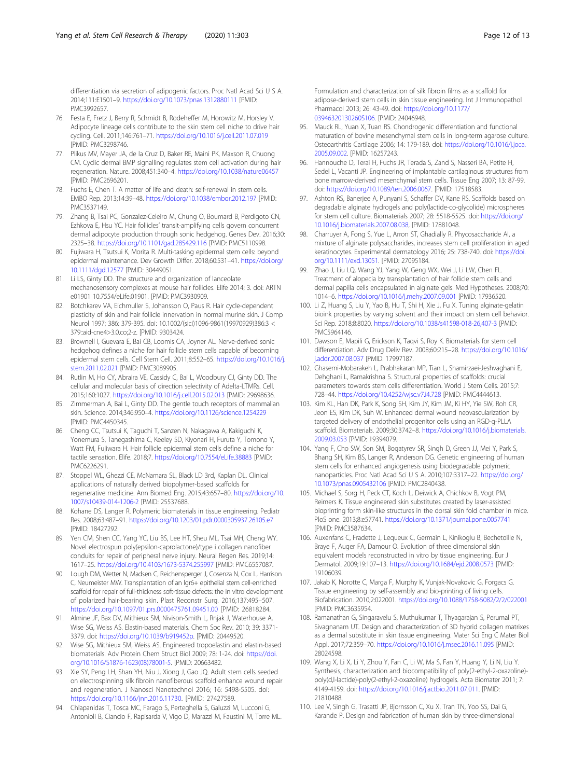<span id="page-11-0"></span>differentiation via secretion of adipogenic factors. Proc Natl Acad Sci U S A. 2014;111:E1501–9. <https://doi.org/10.1073/pnas.1312880111> [PMID: PMC3992657.

- 76. Festa E, Fretz J, Berry R, Schmidt B, Rodeheffer M, Horowitz M, Horsley V. Adipocyte lineage cells contribute to the skin stem cell niche to drive hair cycling. Cell. 2011;146:761–71. <https://doi.org/10.1016/j.cell.2011.07.019> [PMID: PMC3298746.
- 77. Plikus MV, Mayer JA, de la Cruz D, Baker RE, Maini PK, Maxson R, Chuong CM. Cyclic dermal BMP signalling regulates stem cell activation during hair regeneration. Nature. 2008;451:340–4. <https://doi.org/10.1038/nature06457> [PMID: PMC2696201.
- 78. Fuchs E, Chen T. A matter of life and death: self-renewal in stem cells. EMBO Rep. 2013;14:39–48. <https://doi.org/10.1038/embor.2012.197> [PMID: PMC3537149.
- 79. Zhang B, Tsai PC, Gonzalez-Celeiro M, Chung O, Boumard B, Perdigoto CN, Ezhkova E, Hsu YC. Hair follicles' transit-amplifying cells govern concurrent dermal adipocyte production through sonic hedgehog. Genes Dev. 2016;30: 2325–38. <https://doi.org/10.1101/gad.285429.116> [PMID: PMC5110998.
- 80. Fujiwara H, Tsutsui K, Morita R. Multi-tasking epidermal stem cells: beyond epidermal maintenance. Dev Growth Differ. 2018;60:531–41. [https://doi.org/](https://doi.org/10.1111/dgd.12577) [10.1111/dgd.12577](https://doi.org/10.1111/dgd.12577) [PMID: 30449051.
- 81. Li LS, Ginty DD. The structure and organization of lanceolate mechanosensory complexes at mouse hair follicles. Elife 2014; 3. doi: ARTN e01901 10.7554/eLife.01901. [PMID: PMC3930909.
- 82. Botchkarev VA, Eichmuller S, Johansson O, Paus R. Hair cycle-dependent plasticity of skin and hair follicle innervation in normal murine skin. J Comp Neurol 1997; 386: 379-395. doi: 10.1002/(sici)1096-9861(19970929)386:3 < 379::aid-cne4>3.0.co;2-z. [PMID: 9303424.
- 83. Brownell I, Guevara E, Bai CB, Loomis CA, Joyner AL. Nerve-derived sonic hedgehog defines a niche for hair follicle stem cells capable of becoming epidermal stem cells. Cell Stem Cell. 2011;8:552–65. [https://doi.org/10.1016/j.](https://doi.org/10.1016/j.stem.2011.02.021) [stem.2011.02.021](https://doi.org/10.1016/j.stem.2011.02.021) [PMID: PMC3089905.
- 84. Rutlin M, Ho CY, Abraira VE, Cassidy C, Bai L, Woodbury CJ, Ginty DD. The cellular and molecular basis of direction selectivity of Adelta-LTMRs. Cell. 2015;160:1027. <https://doi.org/10.1016/j.cell.2015.02.013> [PMID: 29698636.
- 85. Zimmerman A, Bai L, Ginty DD. The gentle touch receptors of mammalian skin. Science. 2014;346:950–4. <https://doi.org/10.1126/science.1254229> [PMID: PMC4450345.
- 86. Cheng CC, Tsutsui K, Taguchi T, Sanzen N, Nakagawa A, Kakiguchi K, Yonemura S, Tanegashima C, Keeley SD, Kiyonari H, Furuta Y, Tomono Y, Watt FM, Fujiwara H. Hair follicle epidermal stem cells define a niche for tactile sensation. Elife. 2018;7. <https://doi.org/10.7554/eLife.38883> [PMID: PMC6226291.
- 87. Stoppel WL, Ghezzi CE, McNamara SL, Black LD 3rd, Kaplan DL. Clinical applications of naturally derived biopolymer-based scaffolds for regenerative medicine. Ann Biomed Eng. 2015;43:657–80. [https://doi.org/10.](https://doi.org/10.1007/s10439-014-1206-2) [1007/s10439-014-1206-2](https://doi.org/10.1007/s10439-014-1206-2) [PMID: 25537688.
- 88. Kohane DS, Langer R. Polymeric biomaterials in tissue engineering. Pediatr Res. 2008;63:487–91. <https://doi.org/10.1203/01.pdr.0000305937.26105.e7> [PMID: 18427292.
- 89. Yen CM, Shen CC, Yang YC, Liu BS, Lee HT, Sheu ML, Tsai MH, Cheng WY. Novel electrospun poly(epsilon-caprolactone)/type i collagen nanofiber conduits for repair of peripheral nerve injury. Neural Regen Res. 2019;14: 1617–25. <https://doi.org/10.4103/1673-5374.255997> [PMID: PMC6557087.
- 90. Lough DM, Wetter N, Madsen C, Reichensperger J, Cosenza N, Cox L, Harrison C, Neumeister MW. Transplantation of an lgr6+ epithelial stem cell-enriched scaffold for repair of full-thickness soft-tissue defects: the in vitro development of polarized hair-bearing skin. Plast Reconstr Surg. 2016;137:495–507. <https://doi.org/10.1097/01.prs.0000475761.09451.00> [PMID: 26818284.
- 91. Almine JF, Bax DV, Mithieux SM, Nivison-Smith L, Rnjak J, Waterhouse A, Wise SG, Weiss AS. Elastin-based materials. Chem Soc Rev. 2010; 39: 3371- 3379. doi: <https://doi.org/10.1039/b919452p>. [PMID: 20449520.
- 92. Wise SG, Mithieux SM, Weiss AS. Engineered tropoelastin and elastin-based biomaterials. Adv Protein Chem Struct Biol 2009; 78: 1-24. doi: [https://doi.](https://doi.org/10.1016/S1876-1623(08)78001-5) [org/10.1016/S1876-1623\(08\)78001-5.](https://doi.org/10.1016/S1876-1623(08)78001-5) [PMID: 20663482.
- 93. Xie SY, Peng LH, Shan YH, Niu J, Xiong J, Gao JQ. Adult stem cells seeded on electrospinning silk fibroin nanofiberous scaffold enhance wound repair and regeneration. J Nanosci Nanotechnol 2016; 16: 5498-5505. doi: <https://doi.org/10.1166/jnn.2016.11730>. [PMID: 27427589.
- 94. Chlapanidas T, Tosca MC, Farago S, Perteghella S, Galuzzi M, Lucconi G, Antonioli B, Ciancio F, Rapisarda V, Vigo D, Marazzi M, Faustini M, Torre ML.

Formulation and characterization of silk fibroin films as a scaffold for adipose-derived stem cells in skin tissue engineering. Int J Immunopathol Pharmacol 2013; 26: 43-49. doi: [https://doi.org/10.1177/](https://doi.org/10.1177/03946320130260S106) [03946320130260S106.](https://doi.org/10.1177/03946320130260S106) [PMID: 24046948.

- 95. Mauck RL, Yuan X, Tuan RS. Chondrogenic differentiation and functional maturation of bovine mesenchymal stem cells in long-term agarose culture. Osteoarthritis Cartilage 2006; 14: 179-189. doi: [https://doi.org/10.1016/j.joca.](https://doi.org/10.1016/j.joca.2005.09.002) [2005.09.002.](https://doi.org/10.1016/j.joca.2005.09.002) [PMID: 16257243.
- 96. Hannouche D, Terai H, Fuchs JR, Terada S, Zand S, Nasseri BA, Petite H, Sedel L, Vacanti JP. Engineering of implantable cartilaginous structures from bone marrow-derived mesenchymal stem cells. Tissue Eng 2007; 13: 87-99. doi: <https://doi.org/10.1089/ten.2006.0067>. [PMID: 17518583.
- 97. Ashton RS, Banerjee A, Punyani S, Schaffer DV, Kane RS. Scaffolds based on degradable alginate hydrogels and poly(lactide-co-glycolide) microspheres for stem cell culture. Biomaterials 2007; 28: 5518-5525. doi: [https://doi.org/](https://doi.org/10.1016/j.biomaterials.2007.08.038) [10.1016/j.biomaterials.2007.08.038](https://doi.org/10.1016/j.biomaterials.2007.08.038), [PMID: 17881048.
- 98. Charruyer A, Fong S, Yue L, Arron ST, Ghadially R. Phycosaccharide AI, a mixture of alginate polysaccharides, increases stem cell proliferation in aged keratinocytes. Experimental dermatology 2016; 25: 738-740. doi: [https://doi.](https://doi.org/10.1111/exd.13051) [org/10.1111/exd.13051.](https://doi.org/10.1111/exd.13051) [PMID: 27095184.
- 99. Zhao J, Liu LQ, Wang YJ, Yang W, Geng WX, Wei J, Li LW, Chen FL. Treatment of alopecia by transplantation of hair follicle stem cells and dermal papilla cells encapsulated in alginate gels. Med Hypotheses. 2008;70: 1014–6. <https://doi.org/10.1016/j.mehy.2007.09.001> [PMID: 17936520.
- 100. Li Z, Huang S, Liu Y, Yao B, Hu T, Shi H, Xie J, Fu X. Tuning alginate-gelatin bioink properties by varying solvent and their impact on stem cell behavior. Sci Rep. 2018;8:8020. <https://doi.org/10.1038/s41598-018-26,407-3> [PMID: PMC5964146.
- 101. Dawson E, Mapili G, Erickson K, Taqvi S, Roy K. Biomaterials for stem cell differentiation. Adv Drug Deliv Rev. 2008;60:215–28. [https://doi.org/10.1016/](https://doi.org/10.1016/j.addr.2007.08.037) [j.addr.2007.08.037](https://doi.org/10.1016/j.addr.2007.08.037) [PMID: 17997187.
- 102. Ghasemi-Mobarakeh L, Prabhakaran MP, Tian L, Shamirzaei-Jeshvaghani E, Dehghani L, Ramakrishna S. Structural properties of scaffolds: crucial parameters towards stem cells differentiation. World J Stem Cells. 2015;7: 728–44. <https://doi.org/10.4252/wjsc.v7.i4.728> [PMID: PMC4444613.
- 103. Kim KL, Han DK, Park K, Song SH, Kim JY, Kim JM, Ki HY, Yie SW, Roh CR, Jeon ES, Kim DK, Suh W. Enhanced dermal wound neovascularization by targeted delivery of endothelial progenitor cells using an RGD-g-PLLA scaffold. Biomaterials. 2009;30:3742–8. [https://doi.org/10.1016/j.biomaterials.](https://doi.org/10.1016/j.biomaterials.2009.03.053) [2009.03.053](https://doi.org/10.1016/j.biomaterials.2009.03.053) [PMID: 19394079.
- 104. Yang F, Cho SW, Son SM, Bogatyrev SR, Singh D, Green JJ, Mei Y, Park S, Bhang SH, Kim BS, Langer R, Anderson DG. Genetic engineering of human stem cells for enhanced angiogenesis using biodegradable polymeric nanoparticles. Proc Natl Acad Sci U S A. 2010;107:3317–22. [https://doi.org/](https://doi.org/10.1073/pnas.0905432106) [10.1073/pnas.0905432106](https://doi.org/10.1073/pnas.0905432106) [PMID: PMC2840438.
- 105. Michael S, Sorg H, Peck CT, Koch L, Deiwick A, Chichkov B, Vogt PM, Reimers K. Tissue engineered skin substitutes created by laser-assisted bioprinting form skin-like structures in the dorsal skin fold chamber in mice. PloS one. 2013;8:e57741. <https://doi.org/10.1371/journal.pone.0057741> [PMID: PMC3587634.
- 106. Auxenfans C, Fradette J, Lequeux C, Germain L, Kinikoglu B, Bechetoille N, Braye F, Auger FA, Damour O. Evolution of three dimensional skin equivalent models reconstructed in vitro by tissue engineering. Eur J Dermatol. 2009;19:107–13. <https://doi.org/10.1684/ejd.2008.0573> [PMID: 19106039.
- 107. Jakab K, Norotte C, Marga F, Murphy K, Vunjak-Novakovic G, Forgacs G. Tissue engineering by self-assembly and bio-printing of living cells. Biofabrication. 2010;2:022001. <https://doi.org/10.1088/1758-5082/2/2/022001> [PMID: PMC3635954.
- 108. Ramanathan G, Singaravelu S, Muthukumar T, Thyagarajan S, Perumal PT, Sivagnanam UT. Design and characterization of 3D hybrid collagen matrixes as a dermal substitute in skin tissue engineering. Mater Sci Eng C Mater Biol Appl. 2017;72:359–70. <https://doi.org/10.1016/j.msec.2016.11.095> [PMID: 28024598.
- 109. Wang X, Li X, Li Y, Zhou Y, Fan C, Li W, Ma S, Fan Y, Huang Y, Li N, Liu Y. Synthesis, characterization and biocompatibility of poly(2-ethyl-2-oxazoline) poly(d,l-lactide)-poly(2-ethyl-2-oxazoline) hydrogels. Acta Biomater 2011; 7: 4149-4159. doi: [https://doi.org/10.1016/j.actbio.2011.07.011.](https://doi.org/10.1016/j.actbio.2011.07.011) [PMID: 21810488.
- 110. Lee V, Singh G, Trasatti JP, Bjornsson C, Xu X, Tran TN, Yoo SS, Dai G, Karande P. Design and fabrication of human skin by three-dimensional